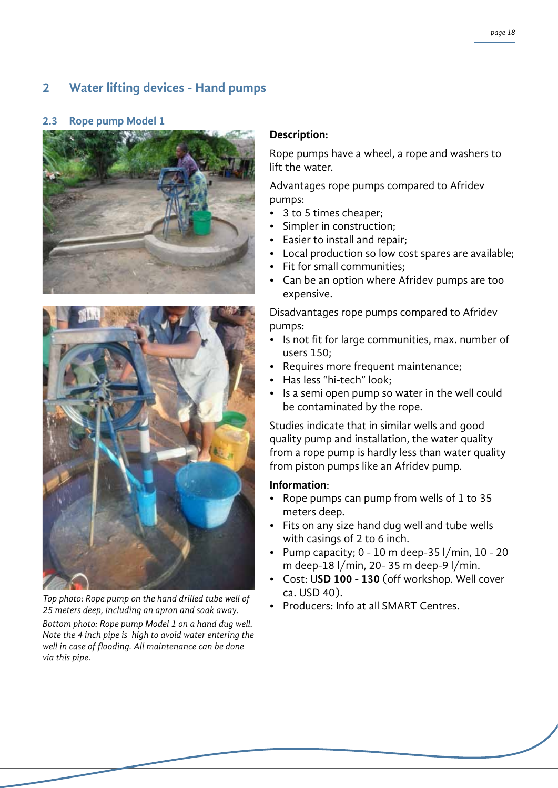# **2 Water lifting devices - Hand pumps**

### **2.3 Rope pump Model 1**





Fop photo: Rope pump on the hand drilled tube well of **Ca. OSD 40).**<br>25 meters deep including an annon and soak quay. **Producers: Info at all SMART Centres.** *25 meters deep, including an apron and soak away.*

*Bottom photo: Rope pump Model 1 on a hand dug well. Note the 4 inch pipe is high to avoid water entering the well in case of flooding. All maintenance can be done via this pipe.*

## **Description:**

Rope pumps have a wheel, a rope and washers to lift the water.

Advantages rope pumps compared to Afridev pumps:

- 3 to 5 times cheaper;
- Simpler in construction;
- Easier to install and repair;
- Local production so low cost spares are available;
- Fit for small communities;
- Can be an option where Afridev pumps are too expensive.

Disadvantages rope pumps compared to Afridev pumps:

- Is not fit for large communities, max. number of users 150;
- Requires more frequent maintenance;
- Has less "hi-tech" look;
- Is a semi open pump so water in the well could be contaminated by the rope.

Studies indicate that in similar wells and good quality pump and installation, the water quality from a rope pump is hardly less than water quality from piston pumps like an Afridev pump.

### **Information**:

- Rope pumps can pump from wells of 1 to 35 meters deep.
- Fits on any size hand dug well and tube wells with casings of 2 to 6 inch.
- Pump capacity;  $0 10$  m deep-35 l/min,  $10 20$ m deep-18 l/min, 20- 35 m deep-9 l/min.
- • Cost: U**SD 100 130** (off workshop. Well cover ca. USD 40).
-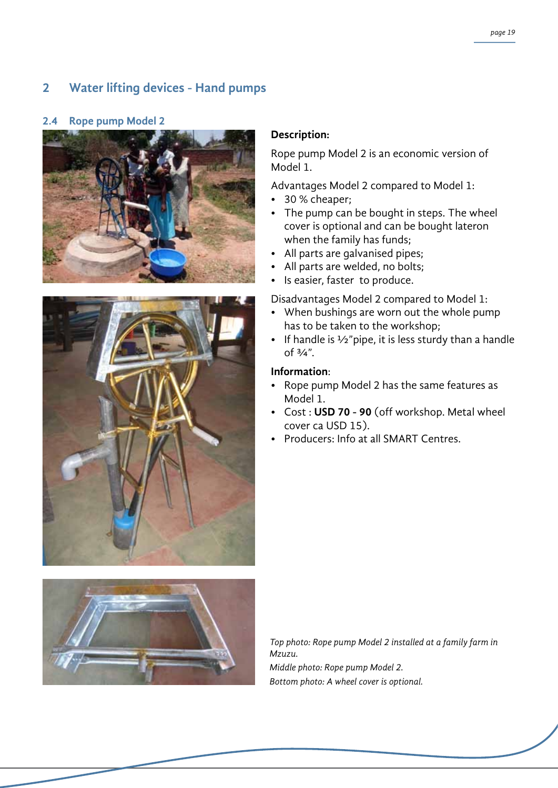## **2 Water lifting devices - Hand pumps**

### **2.4 Rope pump Model 2**



Rope pump Model 2 is an economic version of Model 1.

Advantages Model 2 compared to Model 1:

- • 30 % cheaper;
- The pump can be bought in steps. The wheel cover is optional and can be bought lateron when the family has funds;
- All parts are galvanised pipes;
- All parts are welded, no bolts;
- Is easier, faster to produce.

Disadvantages Model 2 compared to Model 1:

- When bushings are worn out the whole pump has to be taken to the workshop;
- If handle is  $\frac{1}{2}$ "pipe, it is less sturdy than a handle of  $\frac{3}{4}$ ".

### **Information**:

- Rope pump Model 2 has the same features as Model 1.
- • Cost : **USD 70 90** (off workshop. Metal wheel cover ca USD 15).
- Producers: Info at all SMART Centres.



*Top photo: Rope pump Model 2 installed at a family farm in Mzuzu. Middle photo: Rope pump Model 2. Bottom photo: A wheel cover is optional.*